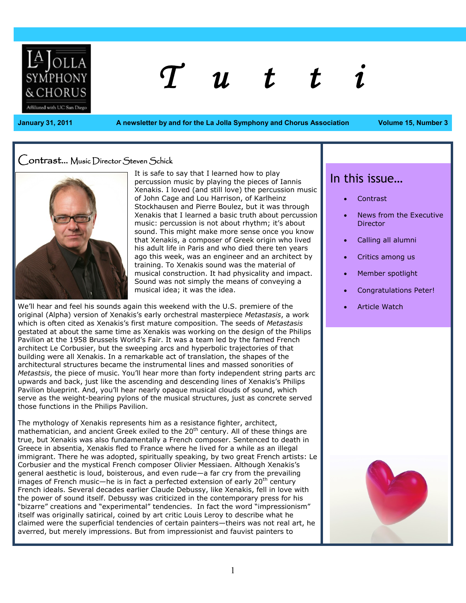

# *T u t t i*

**January 31, 2011 A newsletter by and for the La Jolla Symphony and Chorus Association Volume 15, Number 3**

#### Contrast… Music Director Steven Schick



It is safe to say that I learned how to play percussion music by playing the pieces of Iannis Xenakis. I loved (and still love) the percussion music of John Cage and Lou Harrison, of Karlheinz Stockhausen and Pierre Boulez, but it was through Xenakis that I learned a basic truth about percussion music: percussion is not about rhythm; it's about sound. This might make more sense once you know that Xenakis, a composer of Greek origin who lived his adult life in Paris and who died there ten years ago this week, was an engineer and an architect by training. To Xenakis sound was the material of musical construction. It had physicality and impact. Sound was not simply the means of conveying a musical idea; it was the idea.

We'll hear and feel his sounds again this weekend with the U.S. premiere of the original (Alpha) version of Xenakis's early orchestral masterpiece *Metastasis*, a work which is often cited as Xenakis's first mature composition. The seeds of *Metastasis* gestated at about the same time as Xenakis was working on the design of the Philips Pavilion at the 1958 Brussels World's Fair. It was a team led by the famed French architect Le Corbusier, but the sweeping arcs and hyperbolic trajectories of that building were all Xenakis. In a remarkable act of translation, the shapes of the architectural structures became the instrumental lines and massed sonorities of *Metastsis*, the piece of music. You'll hear more than forty independent string parts arc upwards and back, just like the ascending and descending lines of Xenakis's Philips Pavilion blueprint. And, you'll hear nearly opaque musical clouds of sound, which serve as the weight-bearing pylons of the musical structures, just as concrete served those functions in the Philips Pavilion.

The mythology of Xenakis represents him as a resistance fighter, architect, mathematician, and ancient Greek exiled to the  $20<sup>th</sup>$  century. All of these things are true, but Xenakis was also fundamentally a French composer. Sentenced to death in Greece in absentia, Xenakis fled to France where he lived for a while as an illegal immigrant. There he was adopted, spiritually speaking, by two great French artists: Le Corbusier and the mystical French composer Olivier Messiaen. Although Xenakis's general aesthetic is loud, boisterous, and even rude—a far cry from the prevailing images of French music—he is in fact a perfected extension of early 20<sup>th</sup> century French ideals. Several decades earlier Claude Debussy, like Xenakis, fell in love with the power of sound itself. Debussy was criticized in the contemporary press for his "bizarre" creations and "experimental" tendencies. In fact the word "impressionism" itself was originally satirical, coined by art critic Louis Leroy to describe what he claimed were the superficial tendencies of certain painters—theirs was not real art, he averred, but merely impressions. But from impressionist and fauvist painters to

## In this issue…

- Contrast
- News from the Executive **Director**
- Calling all alumni
- Critics among us
- Member spotlight
- Congratulations Peter!
- Article Watch